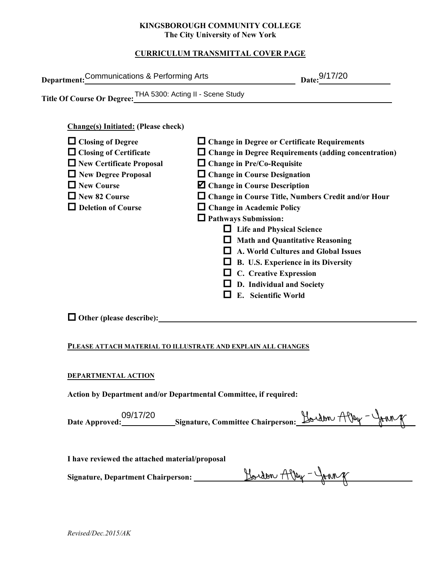### **KINGSBOROUGH COMMUNITY COLLEGE The City University of New York**

# **CURRICULUM TRANSMITTAL COVER PAGE**

| Department: Communications & Performing Arts                                                                                                                                                                                                                            | Date: 9/17/20                                                                                                                                                                                                                                                                                                                                                                                                                                                                                                                                                                                                                            |
|-------------------------------------------------------------------------------------------------------------------------------------------------------------------------------------------------------------------------------------------------------------------------|------------------------------------------------------------------------------------------------------------------------------------------------------------------------------------------------------------------------------------------------------------------------------------------------------------------------------------------------------------------------------------------------------------------------------------------------------------------------------------------------------------------------------------------------------------------------------------------------------------------------------------------|
| Title Of Course Or Degree: THA 5300: Acting II - Scene Study                                                                                                                                                                                                            |                                                                                                                                                                                                                                                                                                                                                                                                                                                                                                                                                                                                                                          |
| <b>Change(s)</b> Initiated: (Please check)<br>$\Box$ Closing of Degree<br>$\Box$ Closing of Certificate<br>$\Box$ New Certificate Proposal<br>New Degree Proposal<br>$\Box$ New Course<br>New 82 Course<br>$\Box$ Deletion of Course<br>$\Box$ Other (please describe): | $\Box$ Change in Degree or Certificate Requirements<br>$\Box$ Change in Degree Requirements (adding concentration)<br>$\Box$ Change in Pre/Co-Requisite<br>$\Box$ Change in Course Designation<br><b>Z</b> Change in Course Description<br>□ Change in Course Title, Numbers Credit and/or Hour<br>$\Box$ Change in Academic Policy<br>$\Box$ Pathways Submission:<br>$\Box$ Life and Physical Science<br>$\Box$ Math and Quantitative Reasoning<br>$\Box$ A. World Cultures and Global Issues<br>$\Box$ B. U.S. Experience in its Diversity<br>$\Box$ C. Creative Expression<br>$\Box$ D. Individual and Society<br>E. Scientific World |
| PLEASE ATTACH MATERIAL TO ILLUSTRATE AND EXPLAIN ALL CHANGES                                                                                                                                                                                                            |                                                                                                                                                                                                                                                                                                                                                                                                                                                                                                                                                                                                                                          |
| DEPARTMENTAL ACTION<br>Action by Department and/or Departmental Committee, if required:                                                                                                                                                                                 |                                                                                                                                                                                                                                                                                                                                                                                                                                                                                                                                                                                                                                          |
| 09/17/20                                                                                                                                                                                                                                                                | Hardon, Allen - Johnne                                                                                                                                                                                                                                                                                                                                                                                                                                                                                                                                                                                                                   |

### **PLEASE ATTACH MATERIAL TO ILLUSTRATE AND EXPLAIN ALL CHANGES**

### **DEPARTMENTAL ACTION**

| 09/17/20       | Signature, Committee Chairperson: $\frac{H_0}{d}$ on $\frac{H_0}{d}$ |  |
|----------------|----------------------------------------------------------------------|--|
| Date Approved: |                                                                      |  |
|                |                                                                      |  |

**I have reviewed the attached material/proposal**

**Signature, Department Chairperson: \_\_\_\_\_\_\_\_\_\_\_\_\_\_\_\_\_\_\_\_\_\_\_\_\_\_\_\_\_\_\_\_\_\_\_\_\_\_\_\_\_\_\_\_\_\_\_\_\_\_\_\_\_\_\_**

| Revised/Dec.2015/AK |  |
|---------------------|--|
|---------------------|--|